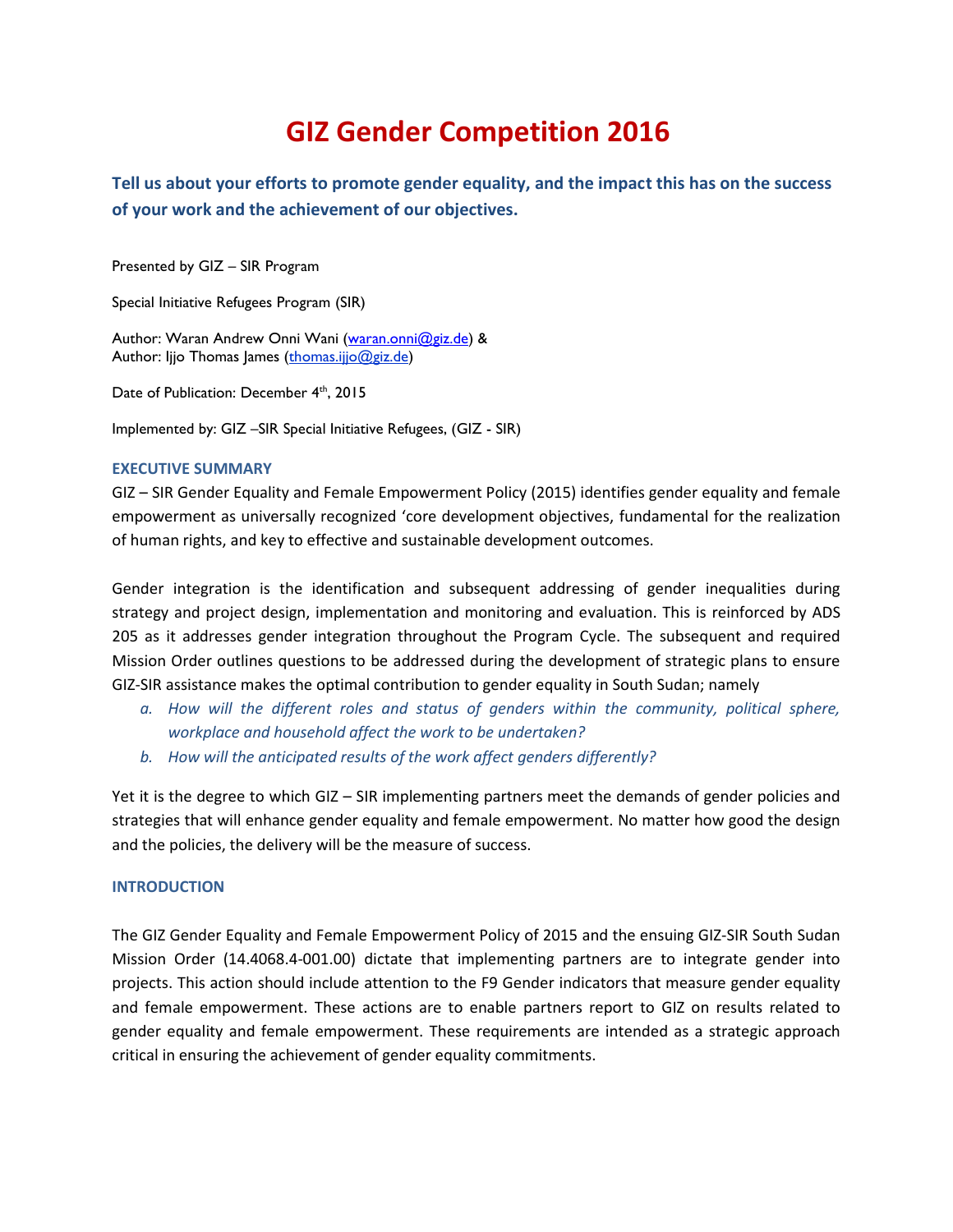# **GIZ Gender Competition 2016**

**Tell us about your efforts to promote gender equality, and the impact this has on the success of your work and the achievement of our objectives.**

Presented by GIZ – SIR Program

Special Initiative Refugees Program (SIR)

Author: Waran Andrew Onni Wani [\(waran.onni@giz.de\)](mailto:waran.onni@giz.de) & Author: Ijjo Thomas James (thomas.iijo@giz.de)

Date of Publication: December 4<sup>th</sup>, 2015

Implemented by: GIZ –SIR Special Initiative Refugees, (GIZ - SIR)

#### **EXECUTIVE SUMMARY**

GIZ – SIR Gender Equality and Female Empowerment Policy (2015) identifies gender equality and female empowerment as universally recognized 'core development objectives, fundamental for the realization of human rights, and key to effective and sustainable development outcomes.

Gender integration is the identification and subsequent addressing of gender inequalities during strategy and project design, implementation and monitoring and evaluation. This is reinforced by ADS 205 as it addresses gender integration throughout the Program Cycle. The subsequent and required Mission Order outlines questions to be addressed during the development of strategic plans to ensure GIZ-SIR assistance makes the optimal contribution to gender equality in South Sudan; namely

- *a. How will the different roles and status of genders within the community, political sphere, workplace and household affect the work to be undertaken?*
- *b. How will the anticipated results of the work affect genders differently?*

Yet it is the degree to which GIZ – SIR implementing partners meet the demands of gender policies and strategies that will enhance gender equality and female empowerment. No matter how good the design and the policies, the delivery will be the measure of success.

# **INTRODUCTION**

The GIZ Gender Equality and Female Empowerment Policy of 2015 and the ensuing GIZ-SIR South Sudan Mission Order (14.4068.4-001.00) dictate that implementing partners are to integrate gender into projects. This action should include attention to the F9 Gender indicators that measure gender equality and female empowerment. These actions are to enable partners report to GIZ on results related to gender equality and female empowerment. These requirements are intended as a strategic approach critical in ensuring the achievement of gender equality commitments.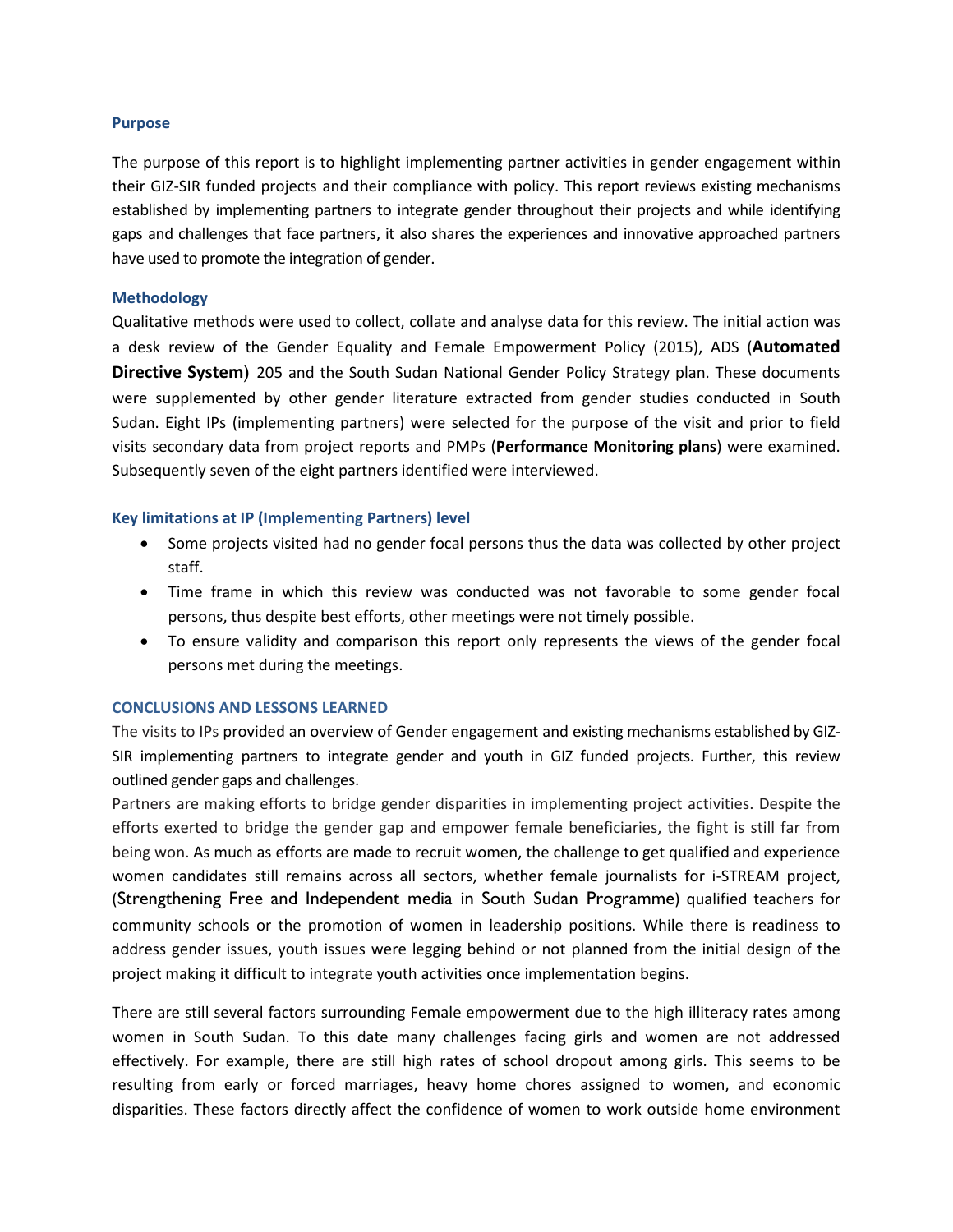# **Purpose**

The purpose of this report is to highlight implementing partner activities in gender engagement within their GIZ-SIR funded projects and their compliance with policy. This report reviews existing mechanisms established by implementing partners to integrate gender throughout their projects and while identifying gaps and challenges that face partners, it also shares the experiences and innovative approached partners have used to promote the integration of gender.

#### **Methodology**

Qualitative methods were used to collect, collate and analyse data for this review. The initial action was a desk review of the Gender Equality and Female Empowerment Policy (2015), ADS (**Automated Directive System**) 205 and the South Sudan National Gender Policy Strategy plan. These documents were supplemented by other gender literature extracted from gender studies conducted in South Sudan. Eight IPs (implementing partners) were selected for the purpose of the visit and prior to field visits secondary data from project reports and PMPs (**Performance Monitoring plans**) were examined. Subsequently seven of the eight partners identified were interviewed.

# **Key limitations at IP (Implementing Partners) level**

- Some projects visited had no gender focal persons thus the data was collected by other project staff.
- Time frame in which this review was conducted was not favorable to some gender focal persons, thus despite best efforts, other meetings were not timely possible.
- To ensure validity and comparison this report only represents the views of the gender focal persons met during the meetings.

# **CONCLUSIONS AND LESSONS LEARNED**

The visits to IPs provided an overview of Gender engagement and existing mechanisms established by GIZ-SIR implementing partners to integrate gender and youth in GIZ funded projects. Further, this review outlined gender gaps and challenges.

Partners are making efforts to bridge gender disparities in implementing project activities. Despite the efforts exerted to bridge the gender gap and empower female beneficiaries, the fight is still far from being won. As much as efforts are made to recruit women, the challenge to get qualified and experience women candidates still remains across all sectors, whether female journalists for i-STREAM project, (Strengthening Free and Independent media in South Sudan Programme) qualified teachers for community schools or the promotion of women in leadership positions. While there is readiness to address gender issues, youth issues were legging behind or not planned from the initial design of the project making it difficult to integrate youth activities once implementation begins.

There are still several factors surrounding Female empowerment due to the high illiteracy rates among women in South Sudan. To this date many challenges facing girls and women are not addressed effectively. For example, there are still high rates of school dropout among girls. This seems to be resulting from early or forced marriages, heavy home chores assigned to women, and economic disparities. These factors directly affect the confidence of women to work outside home environment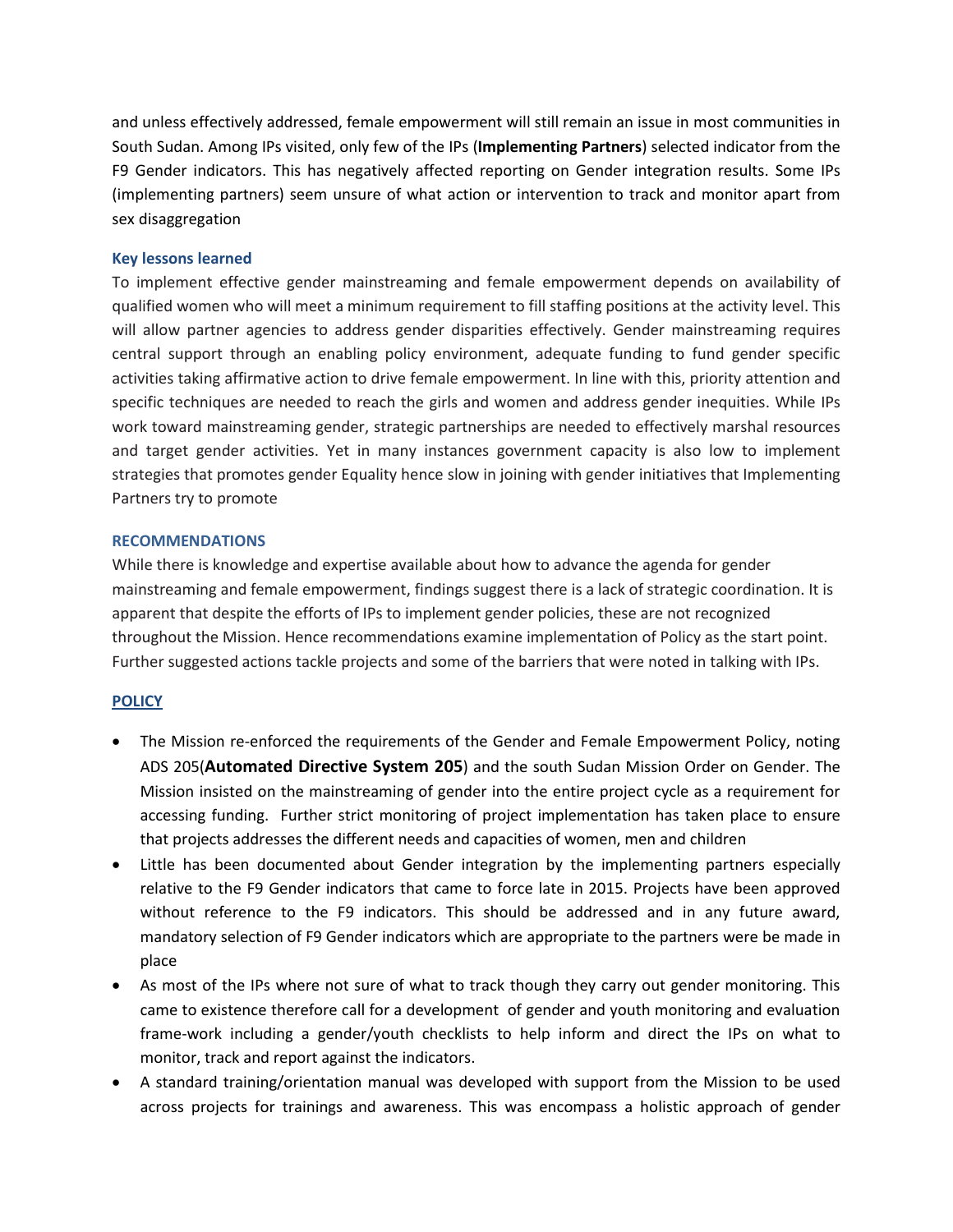and unless effectively addressed, female empowerment will still remain an issue in most communities in South Sudan. Among IPs visited, only few of the IPs (**Implementing Partners**) selected indicator from the F9 Gender indicators. This has negatively affected reporting on Gender integration results. Some IPs (implementing partners) seem unsure of what action or intervention to track and monitor apart from sex disaggregation

# **Key lessons learned**

To implement effective gender mainstreaming and female empowerment depends on availability of qualified women who will meet a minimum requirement to fill staffing positions at the activity level. This will allow partner agencies to address gender disparities effectively. Gender mainstreaming requires central support through an enabling policy environment, adequate funding to fund gender specific activities taking affirmative action to drive female empowerment. In line with this, priority attention and specific techniques are needed to reach the girls and women and address gender inequities. While IPs work toward mainstreaming gender, strategic partnerships are needed to effectively marshal resources and target gender activities. Yet in many instances government capacity is also low to implement strategies that promotes gender Equality hence slow in joining with gender initiatives that Implementing Partners try to promote

# **RECOMMENDATIONS**

While there is knowledge and expertise available about how to advance the agenda for gender mainstreaming and female empowerment, findings suggest there is a lack of strategic coordination. It is apparent that despite the efforts of IPs to implement gender policies, these are not recognized throughout the Mission. Hence recommendations examine implementation of Policy as the start point. Further suggested actions tackle projects and some of the barriers that were noted in talking with IPs.

# **POLICY**

- The Mission re-enforced the requirements of the Gender and Female Empowerment Policy, noting ADS 205(**Automated Directive System 205**) and the south Sudan Mission Order on Gender. The Mission insisted on the mainstreaming of gender into the entire project cycle as a requirement for accessing funding. Further strict monitoring of project implementation has taken place to ensure that projects addresses the different needs and capacities of women, men and children
- Little has been documented about Gender integration by the implementing partners especially relative to the F9 Gender indicators that came to force late in 2015. Projects have been approved without reference to the F9 indicators. This should be addressed and in any future award, mandatory selection of F9 Gender indicators which are appropriate to the partners were be made in place
- As most of the IPs where not sure of what to track though they carry out gender monitoring. This came to existence therefore call for a development of gender and youth monitoring and evaluation frame-work including a gender/youth checklists to help inform and direct the IPs on what to monitor, track and report against the indicators.
- A standard training/orientation manual was developed with support from the Mission to be used across projects for trainings and awareness. This was encompass a holistic approach of gender